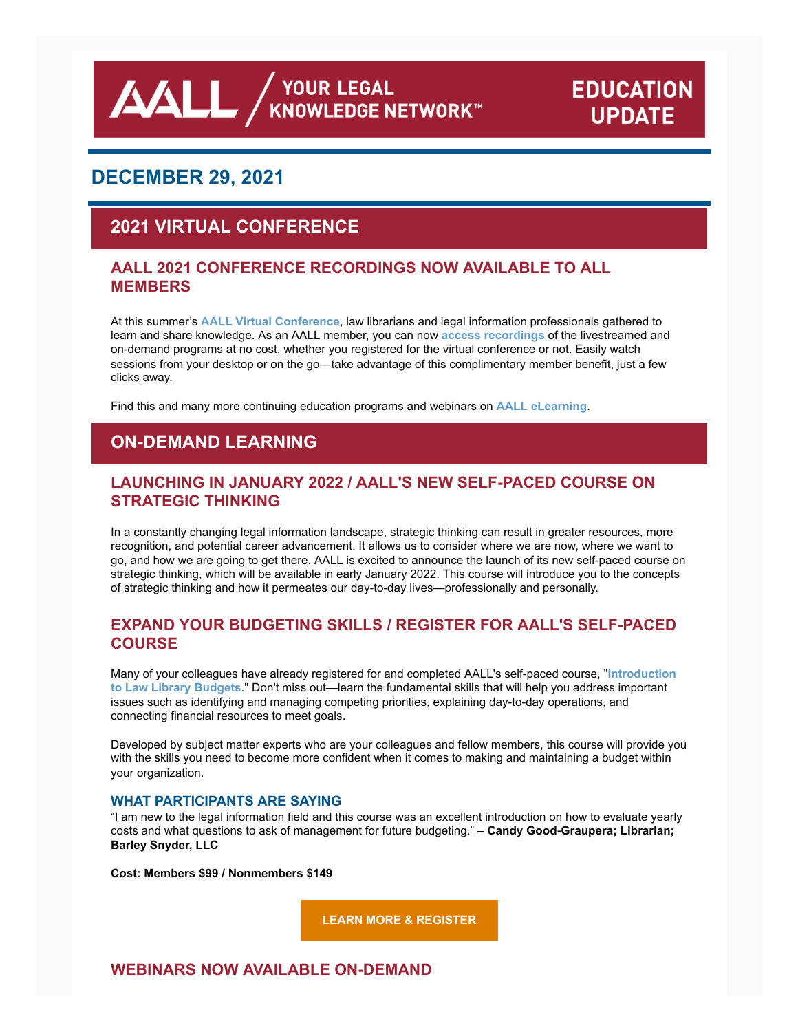**AALL** AND VOUR LEGAL

# **EDUCATION UPDATE**

# **DECEMBER 29, 2021**

# **2021 VIRTUAL CONFERENCE**

### **AALL 2021 CONFERENCE RECORDINGS NOW AVAILABLE TO ALL MEMBERS**

At this summer's **[AALL Virtual Conference](https://www.eventscribe.net/2021/aall2021/index.asp?launcher=1)**, law librarians and legal information professionals gathered to learn and share knowledge. As an AALL member, you can now **[access recordings](https://elearning.aallnet.org/catalog#form_type=catalog-filter&page=1&webinar_type=0&product_type%5B%5D=1435&date%5Bstart%5D=&date%5Bend%5D=&keywords=&sort_by=new_to_old)** of the livestreamed and on-demand programs at no cost, whether you registered for the virtual conference or not. Easily watch sessions from your desktop or on the go—take advantage of this complimentary member benefit, just a few clicks away.

Find this and many more continuing education programs and webinars on **[AALL eLearning](https://elearning.aallnet.org/)**.

# **ON-DEMAND LEARNING**

### **LAUNCHING IN JANUARY 2022 / AALL'S NEW SELF-PACED COURSE ON STRATEGIC THINKING**

In a constantly changing legal information landscape, strategic thinking can result in greater resources, more recognition, and potential career advancement. It allows us to consider where we are now, where we want to go, and how we are going to get there. AALL is excited to announce the launch of its new self-paced course on strategic thinking, which will be available in early January 2022. This course will introduce you to the concepts of strategic thinking and how it permeates our day-to-day lives—professionally and personally.

### **EXPAND YOUR BUDGETING SKILLS / REGISTER FOR AALL'S SELF-PACED COURSE**

[Many of your colleagues have already registered for and completed AALL's self-paced course, "](https://elearning.aallnet.org/products/introduction-to-law-library-budgets-2)**Introduction to Law Library Budgets**." Don't miss out—learn the fundamental skills that will help you address important issues such as identifying and managing competing priorities, explaining day-to-day operations, and connecting financial resources to meet goals.

Developed by subject matter experts who are your colleagues and fellow members, this course will provide you with the skills you need to become more confident when it comes to making and maintaining a budget within your organization.

#### **WHAT PARTICIPANTS ARE SAYING**

"I am new to the legal information field and this course was an excellent introduction on how to evaluate yearly costs and what questions to ask of management for future budgeting." – **Candy Good-Graupera; Librarian; Barley Snyder, LLC**

**Cost: Members \$99 / Nonmembers \$149**

**[LEARN MORE & REGISTER](https://elearning.aallnet.org/products/introduction-to-law-library-budgets-2)**

**WEBINARS NOW AVAILABLE ON-DEMAND**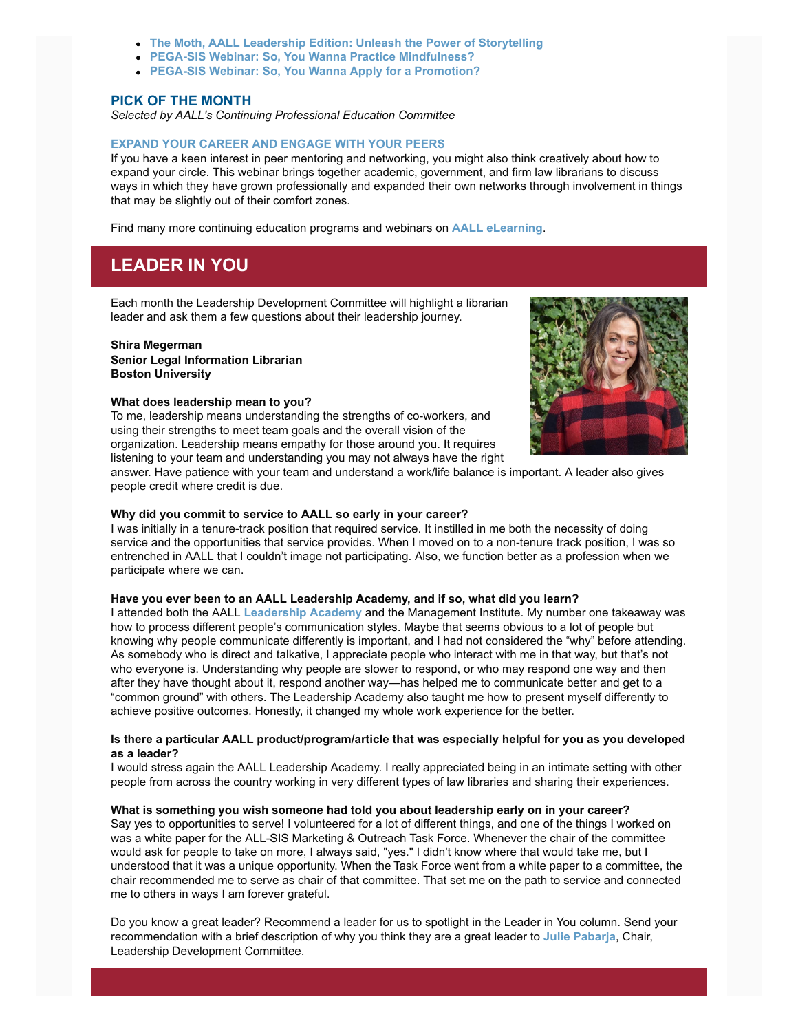- **[The Moth, AALL Leadership Edition: Unleash the Power of Storytelling](https://elearning.aallnet.org/products/the-moth-aall-leadership-edition-unleash-the-power-of-storytelling)**
- **[PEGA-SIS Webinar: So, You Wanna Practice Mindfulness?](https://elearning.aallnet.org/products/live-interview-series-so-you-wanna-practice-mindfulness)**
- **[PEGA-SIS Webinar: So, You Wanna Apply for a Promotion?](https://elearning.aallnet.org/products/live-interview-series-so-you-wanna-apply-for-a-promotion)**

#### **PICK OF THE MONTH**

*Selected by AALL's Continuing Professional Education Committee*

#### **[EXPAND YOUR CAREER AND ENGAGE WITH YOUR PEERS](https://elearning.aallnet.org/products/expand-your-career-and-engage-with-your-peers)**

If you have a keen interest in peer mentoring and networking, you might also think creatively about how to expand your circle. This webinar brings together academic, government, and firm law librarians to discuss ways in which they have grown professionally and expanded their own networks through involvement in things that may be slightly out of their comfort zones.

Find many more continuing education programs and webinars on **[AALL eLearning](https://elearning.aallnet.org/)**.

### **LEADER IN YOU**

Each month the Leadership Development Committee will highlight a librarian leader and ask them a few questions about their leadership journey.

#### **Shira Megerman Senior Legal Information Librarian Boston University**

#### **What does leadership mean to you?**

To me, leadership means understanding the strengths of co-workers, and using their strengths to meet team goals and the overall vision of the organization. Leadership means empathy for those around you. It requires listening to your team and understanding you may not always have the right



answer. Have patience with your team and understand a work/life balance is important. A leader also gives people credit where credit is due.

#### **Why did you commit to service to AALL so early in your career?**

I was initially in a tenure-track position that required service. It instilled in me both the necessity of doing service and the opportunities that service provides. When I moved on to a non-tenure track position, I was so entrenched in AALL that I couldn't image not participating. Also, we function better as a profession when we participate where we can.

#### **Have you ever been to an AALL Leadership Academy, and if so, what did you learn?**

I attended both the AALL **[Leadership Academy](https://www.aallnet.org/education-training/in-person-programs-seminars/leadership-academy/)** and the Management Institute. My number one takeaway was how to process different people's communication styles. Maybe that seems obvious to a lot of people but knowing why people communicate differently is important, and I had not considered the "why" before attending. As somebody who is direct and talkative, I appreciate people who interact with me in that way, but that's not who everyone is. Understanding why people are slower to respond, or who may respond one way and then after they have thought about it, respond another way—has helped me to communicate better and get to a "common ground" with others. The Leadership Academy also taught me how to present myself differently to achieve positive outcomes. Honestly, it changed my whole work experience for the better.

#### **Is there a particular AALL product/program/article that was especially helpful for you as you developed as a leader?**

I would stress again the AALL Leadership Academy. I really appreciated being in an intimate setting with other people from across the country working in very different types of law libraries and sharing their experiences.

#### **What is something you wish someone had told you about leadership early on in your career?**

Say yes to opportunities to serve! I volunteered for a lot of different things, and one of the things I worked on was a white paper for the ALL-SIS Marketing & Outreach Task Force. Whenever the chair of the committee would ask for people to take on more, I always said, "yes." I didn't know where that would take me, but I understood that it was a unique opportunity. When the Task Force went from a white paper to a committee, the chair recommended me to serve as chair of that committee. That set me on the path to service and connected me to others in ways I am forever grateful.

Do you know a great leader? Recommend a leader for us to spotlight in the Leader in You column. Send your recommendation with a brief description of why you think they are a great leader to **[Julie Pabarja](mailto:julie.pabarja@lw.com)**, Chair, Leadership Development Committee.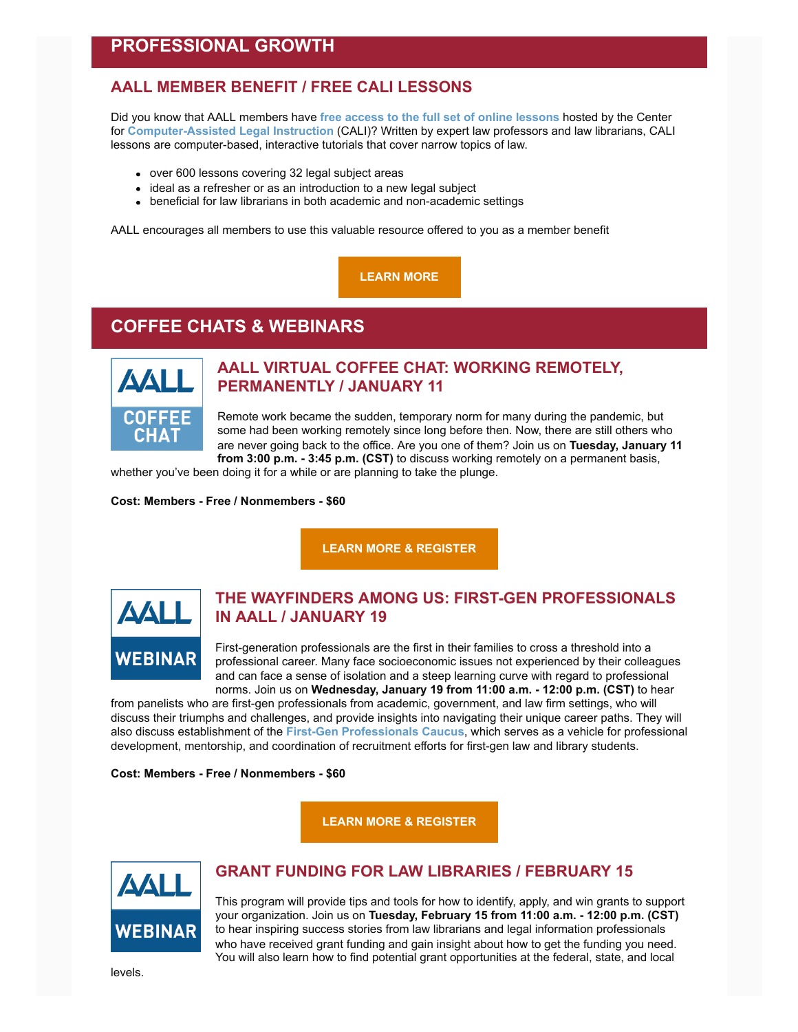### **PROFESSIONAL GROWTH**

### **AALL MEMBER BENEFIT / FREE CALI LESSONS**

Did you know that AALL members have **[free access to the full set of online lessons](https://www.cali.org/)** hosted by the Center for **[Computer-Assisted Legal Instruction](https://www.cali.org/)** (CALI)? Written by expert law professors and law librarians, CALI lessons are computer-based, interactive tutorials that cover narrow topics of law.

- over 600 lessons covering 32 legal subject areas
- ideal as a refresher or as an introduction to a new legal subject
- beneficial for law librarians in both academic and non-academic settings

AALL encourages all members to use this valuable resource offered to you as a member benefit

**[LEARN MORE](https://www.aallnet.org/education-training/elearning/cali-lessons/)**

## **COFFEE CHATS & WEBINARS**



### **AALL VIRTUAL COFFEE CHAT: WORKING REMOTELY, PERMANENTLY / JANUARY 11**

Remote work became the sudden, temporary norm for many during the pandemic, but some had been working remotely since long before then. Now, there are still others who are never going back to the office. Are you one of them? Join us on **Tuesday, January 11 from 3:00 p.m. - 3:45 p.m. (CST)** to discuss working remotely on a permanent basis,

whether you've been doing it for a while or are planning to take the plunge.

#### **Cost: Members - Free / Nonmembers - \$60**

**[LEARN MORE & REGISTER](https://elearning.aallnet.org/products/virtual-coffee-chat-working-remotely-permanently)**



### **THE WAYFINDERS AMONG US: FIRST-GEN PROFESSIONALS IN AALL / JANUARY 19**

First-generation professionals are the first in their families to cross a threshold into a professional career. Many face socioeconomic issues not experienced by their colleagues and can face a sense of isolation and a steep learning curve with regard to professional norms. Join us on **Wednesday, January 19 from 11:00 a.m. - 12:00 p.m. (CST)** to hear

from panelists who are first-gen professionals from academic, government, and law firm settings, who will discuss their triumphs and challenges, and provide insights into navigating their unique career paths. They will also discuss establishment of the **[First-Gen Professionals Caucus](https://community.aallnet.org/communities/community-home?CommunityKey=18c632c2-440e-4f92-a745-66ff12ad628f)**, which serves as a vehicle for professional development, mentorship, and coordination of recruitment efforts for first-gen law and library students.

#### **Cost: Members - Free / Nonmembers - \$60**

**[LEARN MORE & REGISTER](https://elearning.aallnet.org/products/the-wayfinders-among-us-first-gen-professionals-in-aall)**



### **GRANT FUNDING FOR LAW LIBRARIES / FEBRUARY 15**

This program will provide tips and tools for how to identify, apply, and win grants to support your organization. Join us on **Tuesday, February 15 from 11:00 a.m. - 12:00 p.m. (CST)** to hear inspiring success stories from law librarians and legal information professionals who have received grant funding and gain insight about how to get the funding you need. You will also learn how to find potential grant opportunities at the federal, state, and local

levels.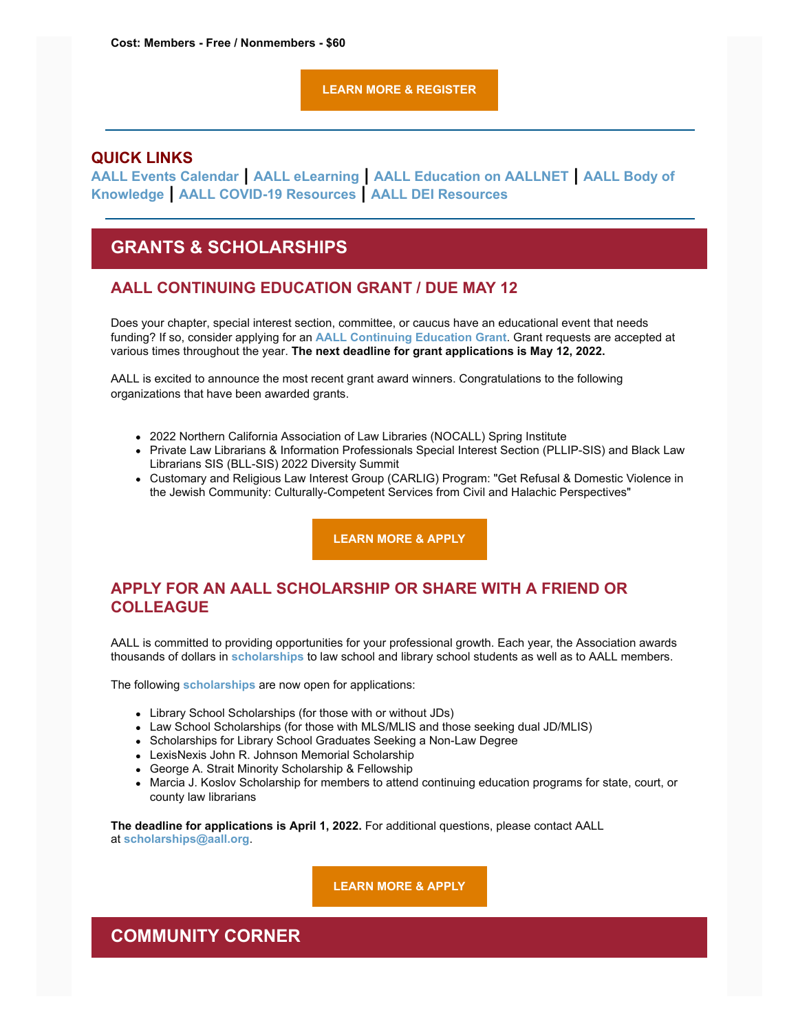#### **[LEARN MORE & REGISTER](https://elearning.aallnet.org/products/grant-funding-for-law-libraries)**

#### **QUICK LINKS**

**[AALL Events Calendar](https://www.aallnet.org/forms/MeetingCalendar/) | [AALL eLearning](https://elearning.aallnet.org/) | [AALL Education on AALLNET](https://www.aallnet.org/education-training/bok/) | AALL Body of Knowledge | [AALL COVID-19 Resources](https://www.aallnet.org/about-us/press-room/coronavirus/) | [AALL DEI Resources](https://www.aallnet.org/about-us/press-room/anti-racism-diversity-equity-inclusion/)**

### **GRANTS & SCHOLARSHIPS**

#### **AALL CONTINUING EDUCATION GRANT / DUE MAY 12**

Does your chapter, special interest section, committee, or caucus have an educational event that needs funding? If so, consider applying for an **AALL [Continuing Education Grant](https://www.aallnet.org/education-training/grants/cpe-program-grants/)**. Grant requests are accepted at various times throughout the year. **The next deadline for grant applications is May 12, 2022.**

AALL is excited to announce the most recent grant award winners. Congratulations to the following organizations that have been awarded grants.

- 2022 Northern California Association of Law Libraries (NOCALL) Spring Institute
- Private Law Librarians & Information Professionals Special Interest Section (PLLIP-SIS) and Black Law Librarians SIS (BLL-SIS) 2022 Diversity Summit
- Customary and Religious Law Interest Group (CARLIG) Program: "Get Refusal & Domestic Violence in the Jewish Community: Culturally-Competent Services from Civil and Halachic Perspectives"

**[LEARN MORE & APPLY](https://www.aallnet.org/education-training/grants/cpe-program-grants/)**

### **APPLY FOR AN AALL SCHOLARSHIP OR SHARE WITH A FRIEND OR COLLEAGUE**

AALL is committed to providing opportunities for your professional growth. Each year, the Association awards thousands of dollars in **[scholarships](https://www.aallnet.org/education-training/scholarships/)** to law school and library school students as well as to AALL members.

The following **[scholarships](https://www.aallnet.org/education-training/scholarships/)** are now open for applications:

- Library School Scholarships (for those with or without JDs)
- Law School Scholarships (for those with MLS/MLIS and those seeking dual JD/MLIS)
- Scholarships for Library School Graduates Seeking a Non-Law Degree
- LexisNexis John R. Johnson Memorial Scholarship
- George A. Strait Minority Scholarship & Fellowship
- Marcia J. Koslov Scholarship for members to attend continuing education programs for state, court, or county law librarians

**The deadline for applications is April 1, 2022.** For additional questions, please contact AALL at **[scholarships@aall.org](mailto:scholarships@aall.org)**.

**[LEARN MORE & APPLY](https://www.aallnet.org/education-training/scholarships/)**

### **COMMUNITY CORNER**